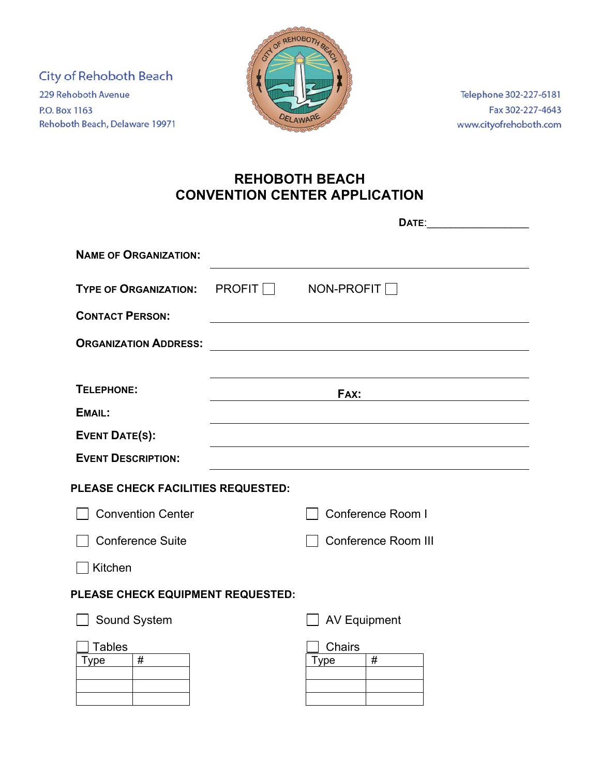City of Rehoboth Beach 229 Rehoboth Avenue P.O. Box 1163 Rehoboth Beach, Delaware 19971



Telephone 302-227-6181 Fax 302-227-4643 www.cityofrehoboth.com

## **REHOBOTH BEACH CONVENTION CENTER APPLICATION**

|                                      | DATE:                 |                            |  |  |  |
|--------------------------------------|-----------------------|----------------------------|--|--|--|
| <b>NAME OF ORGANIZATION:</b>         |                       |                            |  |  |  |
| <b>TYPE OF ORGANIZATION:</b>         | PROFIT □ NON-PROFIT [ |                            |  |  |  |
| <b>CONTACT PERSON:</b>               |                       |                            |  |  |  |
| <b>ORGANIZATION ADDRESS:</b>         |                       |                            |  |  |  |
|                                      |                       |                            |  |  |  |
| <b>TELEPHONE:</b>                    |                       | FAX:                       |  |  |  |
| EMAIL:                               |                       |                            |  |  |  |
| <b>EVENT DATE(S):</b>                |                       |                            |  |  |  |
| <b>EVENT DESCRIPTION:</b>            |                       |                            |  |  |  |
| PLEASE CHECK FACILITIES REQUESTED:   |                       |                            |  |  |  |
| <b>Convention Center</b>             |                       | Conference Room I          |  |  |  |
| <b>Conference Suite</b>              |                       | <b>Conference Room III</b> |  |  |  |
| Kitchen                              |                       |                            |  |  |  |
| PLEASE CHECK EQUIPMENT REQUESTED:    |                       |                            |  |  |  |
| Sound System                         |                       | <b>AV Equipment</b>        |  |  |  |
| <b>Tables</b><br>$\#$<br><b>Type</b> |                       | Chairs<br>#<br><b>Type</b> |  |  |  |
|                                      |                       |                            |  |  |  |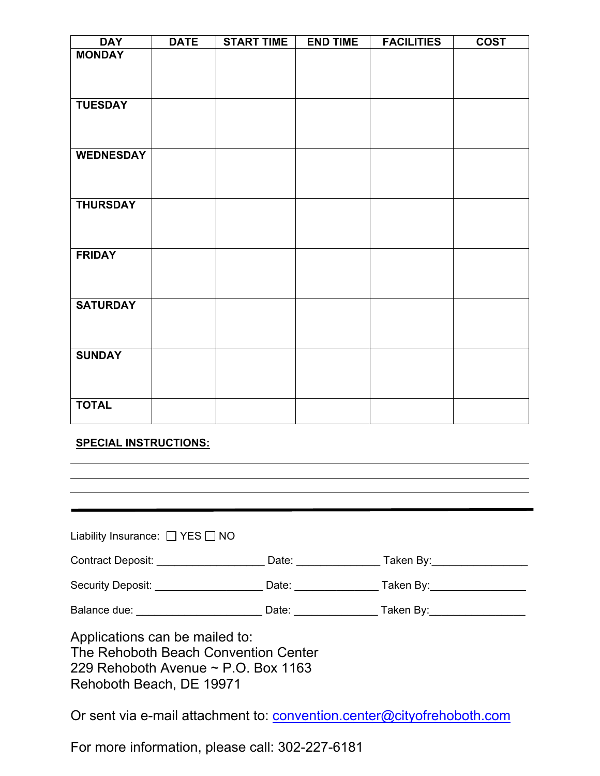| <b>DAY</b>       | <b>DATE</b> | <b>START TIME</b> | <b>END TIME</b> | <b>FACILITIES</b> | <b>COST</b> |
|------------------|-------------|-------------------|-----------------|-------------------|-------------|
| <b>MONDAY</b>    |             |                   |                 |                   |             |
|                  |             |                   |                 |                   |             |
|                  |             |                   |                 |                   |             |
| <b>TUESDAY</b>   |             |                   |                 |                   |             |
|                  |             |                   |                 |                   |             |
|                  |             |                   |                 |                   |             |
|                  |             |                   |                 |                   |             |
| <b>WEDNESDAY</b> |             |                   |                 |                   |             |
|                  |             |                   |                 |                   |             |
|                  |             |                   |                 |                   |             |
| <b>THURSDAY</b>  |             |                   |                 |                   |             |
|                  |             |                   |                 |                   |             |
|                  |             |                   |                 |                   |             |
| <b>FRIDAY</b>    |             |                   |                 |                   |             |
|                  |             |                   |                 |                   |             |
|                  |             |                   |                 |                   |             |
| <b>SATURDAY</b>  |             |                   |                 |                   |             |
|                  |             |                   |                 |                   |             |
|                  |             |                   |                 |                   |             |
|                  |             |                   |                 |                   |             |
| <b>SUNDAY</b>    |             |                   |                 |                   |             |
|                  |             |                   |                 |                   |             |
|                  |             |                   |                 |                   |             |
| <b>TOTAL</b>     |             |                   |                 |                   |             |
|                  |             |                   |                 |                   |             |

## **SPECIAL INSTRUCTIONS:**

| Liability Insurance: $\Box$ YES $\Box$ NO                                                                                                      |  |                                                                                              |  |  |  |  |
|------------------------------------------------------------------------------------------------------------------------------------------------|--|----------------------------------------------------------------------------------------------|--|--|--|--|
|                                                                                                                                                |  |                                                                                              |  |  |  |  |
|                                                                                                                                                |  | Security Deposit: ____________________________Date: _____________________________            |  |  |  |  |
|                                                                                                                                                |  | Balance due: <u>New York: Date: Date: New York: Taken By:</u> National Property of the Date: |  |  |  |  |
| Applications can be mailed to:<br>The Rehoboth Beach Convention Center<br>229 Rehoboth Avenue $\sim$ P.O. Box 1163<br>Rehoboth Beach, DE 19971 |  |                                                                                              |  |  |  |  |
|                                                                                                                                                |  | Or sent via e-mail attachment to: convention.center@cityofrehoboth.com                       |  |  |  |  |

For more information, please call: 302-227-6181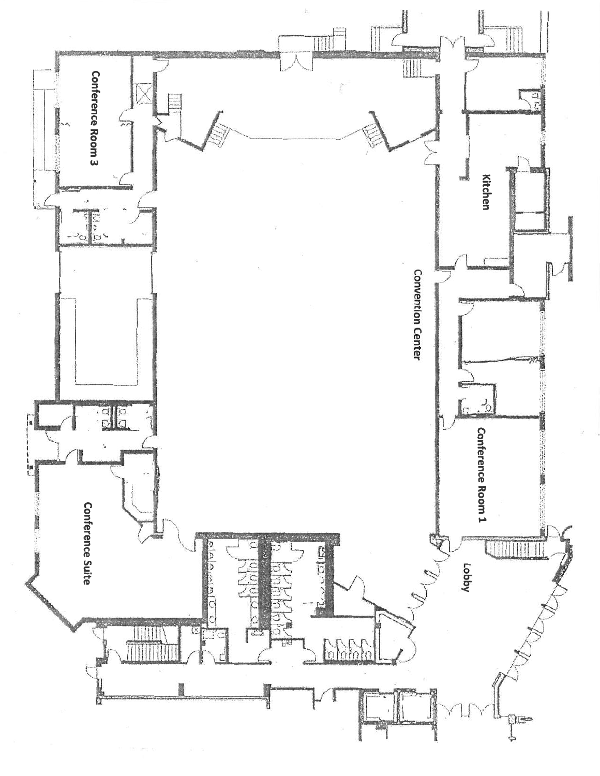